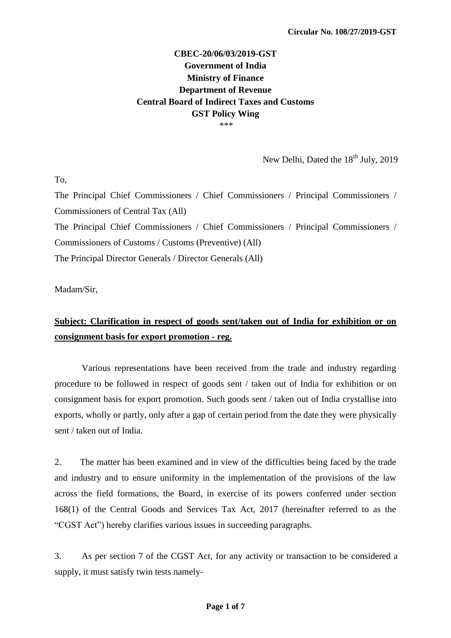## **CBEC-20/06/03/2019-GST Government of India Ministry of Finance Department of Revenue Central Board of Indirect Taxes and Customs GST Policy Wing**  \*\*\*

New Delhi, Dated the  $18<sup>th</sup>$  July, 2019

To,

The Principal Chief Commissioners / Chief Commissioners / Principal Commissioners / Commissioners of Central Tax (All) The Principal Chief Commissioners / Chief Commissioners / Principal Commissioners / Commissioners of Customs / Customs (Preventive) (All) The Principal Director Generals / Director Generals (All)

Madam/Sir,

## **Subject: Clarification in respect of goods sent/taken out of India for exhibition or on consignment basis for export promotion - reg.**

Various representations have been received from the trade and industry regarding procedure to be followed in respect of goods sent / taken out of India for exhibition or on consignment basis for export promotion. Such goods sent / taken out of India crystallise into exports, wholly or partly, only after a gap of certain period from the date they were physically sent / taken out of India.

2. The matter has been examined and in view of the difficulties being faced by the trade and industry and to ensure uniformity in the implementation of the provisions of the law across the field formations, the Board, in exercise of its powers conferred under section 168(1) of the Central Goods and Services Tax Act, 2017 (hereinafter referred to as the "CGST Act") hereby clarifies various issues in succeeding paragraphs.

3. As per section 7 of the CGST Act, for any activity or transaction to be considered a supply, it must satisfy twin tests namely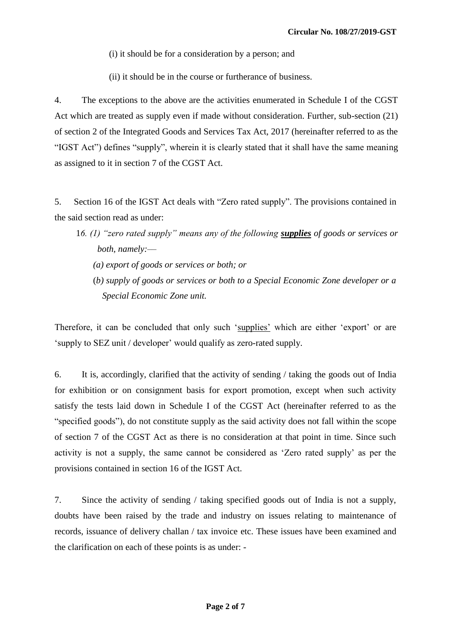(i) it should be for a consideration by a person; and

(ii) it should be in the course or furtherance of business.

4. The exceptions to the above are the activities enumerated in Schedule I of the CGST Act which are treated as supply even if made without consideration. Further, sub-section (21) of section 2 of the Integrated Goods and Services Tax Act, 2017 (hereinafter referred to as the "IGST Act") defines "supply", wherein it is clearly stated that it shall have the same meaning as assigned to it in section 7 of the CGST Act.

5. Section 16 of the IGST Act deals with "Zero rated supply". The provisions contained in the said section read as under:

- 1*6. (1) "zero rated supply" means any of the following supplies of goods or services or both, namely:––*
	- *(a) export of goods or services or both; or*
	- (*b) supply of goods or services or both to a Special Economic Zone developer or a Special Economic Zone unit.*

Therefore, it can be concluded that only such 'supplies' which are either 'export' or are 'supply to SEZ unit / developer' would qualify as zero-rated supply.

6. It is, accordingly, clarified that the activity of sending / taking the goods out of India for exhibition or on consignment basis for export promotion, except when such activity satisfy the tests laid down in Schedule I of the CGST Act (hereinafter referred to as the "specified goods"), do not constitute supply as the said activity does not fall within the scope of section 7 of the CGST Act as there is no consideration at that point in time. Since such activity is not a supply, the same cannot be considered as "Zero rated supply" as per the provisions contained in section 16 of the IGST Act.

7. Since the activity of sending / taking specified goods out of India is not a supply, doubts have been raised by the trade and industry on issues relating to maintenance of records, issuance of delivery challan / tax invoice etc. These issues have been examined and the clarification on each of these points is as under: -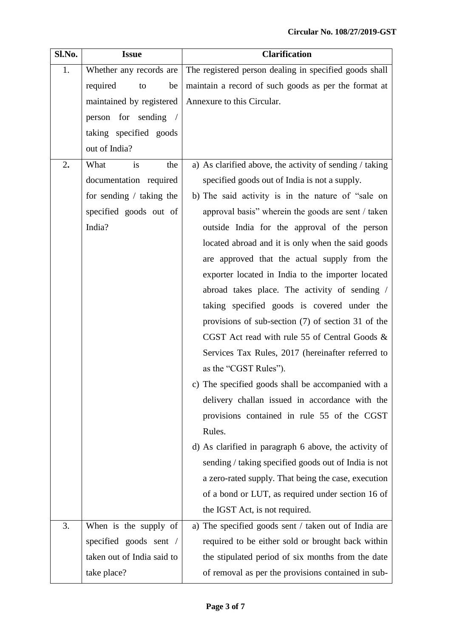| Sl.No. | <b>Issue</b>               | <b>Clarification</b>                                    |  |  |  |  |  |  |  |  |
|--------|----------------------------|---------------------------------------------------------|--|--|--|--|--|--|--|--|
| 1.     | Whether any records are    | The registered person dealing in specified goods shall  |  |  |  |  |  |  |  |  |
|        | required<br>be<br>to       | maintain a record of such goods as per the format at    |  |  |  |  |  |  |  |  |
|        | maintained by registered   | Annexure to this Circular.                              |  |  |  |  |  |  |  |  |
|        | person for sending /       |                                                         |  |  |  |  |  |  |  |  |
|        | taking specified goods     |                                                         |  |  |  |  |  |  |  |  |
|        | out of India?              |                                                         |  |  |  |  |  |  |  |  |
| 2.     | What<br>is<br>the          | a) As clarified above, the activity of sending / taking |  |  |  |  |  |  |  |  |
|        | documentation required     | specified goods out of India is not a supply.           |  |  |  |  |  |  |  |  |
|        | for sending $/$ taking the | b) The said activity is in the nature of "sale on       |  |  |  |  |  |  |  |  |
|        | specified goods out of     | approval basis" wherein the goods are sent / taken      |  |  |  |  |  |  |  |  |
|        | India?                     | outside India for the approval of the person            |  |  |  |  |  |  |  |  |
|        |                            | located abroad and it is only when the said goods       |  |  |  |  |  |  |  |  |
|        |                            | are approved that the actual supply from the            |  |  |  |  |  |  |  |  |
|        |                            | exporter located in India to the importer located       |  |  |  |  |  |  |  |  |
|        |                            | abroad takes place. The activity of sending /           |  |  |  |  |  |  |  |  |
|        |                            | taking specified goods is covered under the             |  |  |  |  |  |  |  |  |
|        |                            | provisions of sub-section $(7)$ of section 31 of the    |  |  |  |  |  |  |  |  |
|        |                            | CGST Act read with rule 55 of Central Goods &           |  |  |  |  |  |  |  |  |
|        |                            | Services Tax Rules, 2017 (hereinafter referred to       |  |  |  |  |  |  |  |  |
|        |                            | as the "CGST Rules").                                   |  |  |  |  |  |  |  |  |
|        |                            | c) The specified goods shall be accompanied with a      |  |  |  |  |  |  |  |  |
|        |                            | delivery challan issued in accordance with the          |  |  |  |  |  |  |  |  |
|        |                            | provisions contained in rule 55 of the CGST             |  |  |  |  |  |  |  |  |
|        |                            | Rules.                                                  |  |  |  |  |  |  |  |  |
|        |                            | d) As clarified in paragraph 6 above, the activity of   |  |  |  |  |  |  |  |  |
|        |                            | sending / taking specified goods out of India is not    |  |  |  |  |  |  |  |  |
|        |                            | a zero-rated supply. That being the case, execution     |  |  |  |  |  |  |  |  |
|        |                            | of a bond or LUT, as required under section 16 of       |  |  |  |  |  |  |  |  |
|        |                            | the IGST Act, is not required.                          |  |  |  |  |  |  |  |  |
| 3.     | When is the supply of      | a) The specified goods sent / taken out of India are    |  |  |  |  |  |  |  |  |
|        | specified goods sent /     | required to be either sold or brought back within       |  |  |  |  |  |  |  |  |
|        | taken out of India said to | the stipulated period of six months from the date       |  |  |  |  |  |  |  |  |
|        | take place?                | of removal as per the provisions contained in sub-      |  |  |  |  |  |  |  |  |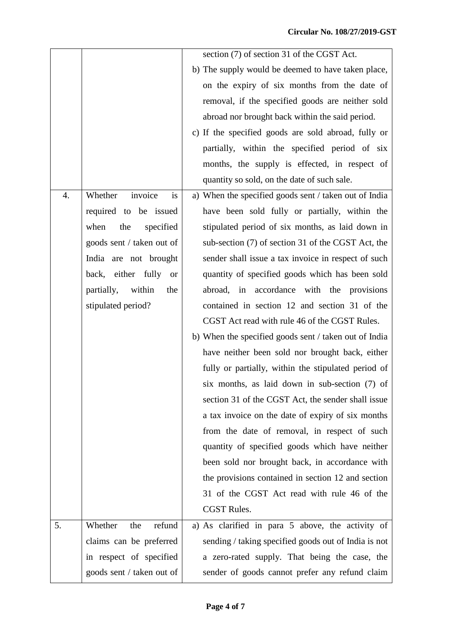|                  |                             | section (7) of section 31 of the CGST Act.            |
|------------------|-----------------------------|-------------------------------------------------------|
|                  |                             | b) The supply would be deemed to have taken place,    |
|                  |                             | on the expiry of six months from the date of          |
|                  |                             | removal, if the specified goods are neither sold      |
|                  |                             | abroad nor brought back within the said period.       |
|                  |                             | c) If the specified goods are sold abroad, fully or   |
|                  |                             | partially, within the specified period of six         |
|                  |                             | months, the supply is effected, in respect of         |
|                  |                             | quantity so sold, on the date of such sale.           |
| $\overline{4}$ . | invoice<br>Whether<br>is    | a) When the specified goods sent / taken out of India |
|                  | required to be issued       | have been sold fully or partially, within the         |
|                  | the<br>specified<br>when    | stipulated period of six months, as laid down in      |
|                  | goods sent / taken out of   | sub-section (7) of section 31 of the CGST Act, the    |
|                  | India are not brought       | sender shall issue a tax invoice in respect of such   |
|                  | back, either fully or       | quantity of specified goods which has been sold       |
|                  | within<br>partially,<br>the | abroad, in accordance with the provisions             |
|                  | stipulated period?          | contained in section 12 and section 31 of the         |
|                  |                             | CGST Act read with rule 46 of the CGST Rules.         |
|                  |                             | b) When the specified goods sent / taken out of India |
|                  |                             | have neither been sold nor brought back, either       |
|                  |                             | fully or partially, within the stipulated period of   |
|                  |                             | six months, as laid down in sub-section (7) of        |
|                  |                             | section 31 of the CGST Act, the sender shall issue    |
|                  |                             | a tax invoice on the date of expiry of six months     |
|                  |                             | from the date of removal, in respect of such          |
|                  |                             | quantity of specified goods which have neither        |
|                  |                             | been sold nor brought back, in accordance with        |
|                  |                             | the provisions contained in section 12 and section    |
|                  |                             | 31 of the CGST Act read with rule 46 of the           |
|                  |                             | <b>CGST Rules.</b>                                    |
| 5.               | Whether<br>refund<br>the    | a) As clarified in para 5 above, the activity of      |
|                  | claims can be preferred     | sending / taking specified goods out of India is not  |
|                  | in respect of specified     | a zero-rated supply. That being the case, the         |
|                  | goods sent / taken out of   | sender of goods cannot prefer any refund claim        |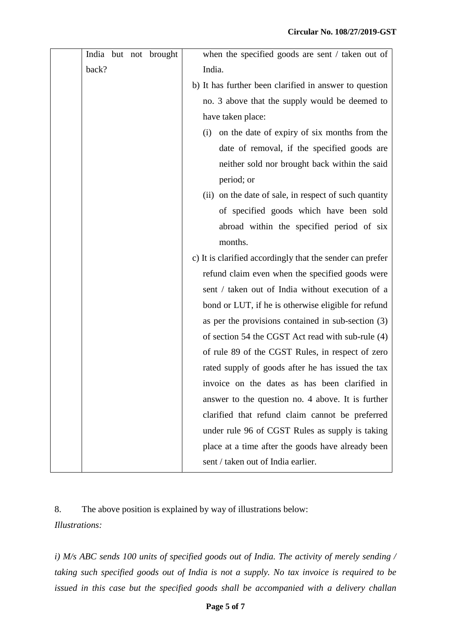|       |  | India but not brought | when the specified goods are sent / taken out of          |
|-------|--|-----------------------|-----------------------------------------------------------|
| back? |  |                       | India.                                                    |
|       |  |                       | b) It has further been clarified in answer to question    |
|       |  |                       | no. 3 above that the supply would be deemed to            |
|       |  |                       | have taken place:                                         |
|       |  |                       | on the date of expiry of six months from the<br>(i)       |
|       |  |                       | date of removal, if the specified goods are               |
|       |  |                       | neither sold nor brought back within the said             |
|       |  |                       | period; or                                                |
|       |  |                       | (ii) on the date of sale, in respect of such quantity     |
|       |  |                       | of specified goods which have been sold                   |
|       |  |                       | abroad within the specified period of six                 |
|       |  |                       | months.                                                   |
|       |  |                       | c) It is clarified accordingly that the sender can prefer |
|       |  |                       | refund claim even when the specified goods were           |
|       |  |                       | sent / taken out of India without execution of a          |
|       |  |                       | bond or LUT, if he is otherwise eligible for refund       |
|       |  |                       | as per the provisions contained in sub-section $(3)$      |
|       |  |                       | of section 54 the CGST Act read with sub-rule (4)         |
|       |  |                       | of rule 89 of the CGST Rules, in respect of zero          |
|       |  |                       | rated supply of goods after he has issued the tax         |
|       |  |                       | invoice on the dates as has been clarified in             |
|       |  |                       | answer to the question no. 4 above. It is further         |
|       |  |                       | clarified that refund claim cannot be preferred           |
|       |  |                       | under rule 96 of CGST Rules as supply is taking           |
|       |  |                       | place at a time after the goods have already been         |
|       |  |                       | sent / taken out of India earlier.                        |

8. The above position is explained by way of illustrations below: *Illustrations:*

*i) M/s ABC sends 100 units of specified goods out of India. The activity of merely sending / taking such specified goods out of India is not a supply. No tax invoice is required to be issued in this case but the specified goods shall be accompanied with a delivery challan*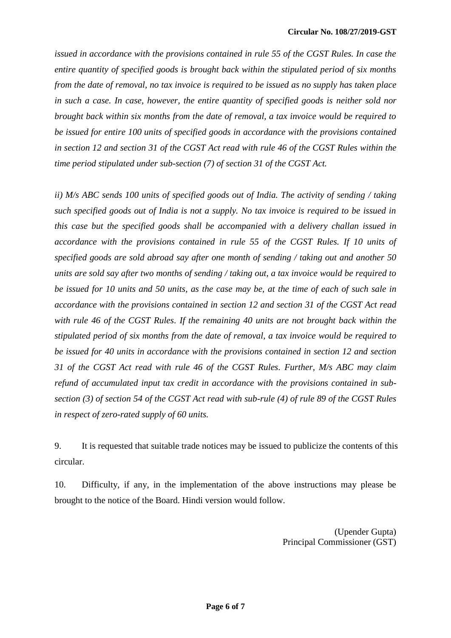*issued in accordance with the provisions contained in rule 55 of the CGST Rules. In case the entire quantity of specified goods is brought back within the stipulated period of six months from the date of removal, no tax invoice is required to be issued as no supply has taken place in such a case. In case, however, the entire quantity of specified goods is neither sold nor brought back within six months from the date of removal, a tax invoice would be required to be issued for entire 100 units of specified goods in accordance with the provisions contained in section 12 and section 31 of the CGST Act read with rule 46 of the CGST Rules within the time period stipulated under sub-section (7) of section 31 of the CGST Act.*

*ii) M/s ABC sends 100 units of specified goods out of India. The activity of sending / taking such specified goods out of India is not a supply. No tax invoice is required to be issued in this case but the specified goods shall be accompanied with a delivery challan issued in accordance with the provisions contained in rule 55 of the CGST Rules. If 10 units of specified goods are sold abroad say after one month of sending / taking out and another 50 units are sold say after two months of sending / taking out, a tax invoice would be required to be issued for 10 units and 50 units, as the case may be, at the time of each of such sale in accordance with the provisions contained in section 12 and section 31 of the CGST Act read with rule 46 of the CGST Rules. If the remaining 40 units are not brought back within the stipulated period of six months from the date of removal, a tax invoice would be required to be issued for 40 units in accordance with the provisions contained in section 12 and section 31 of the CGST Act read with rule 46 of the CGST Rules. Further, M/s ABC may claim refund of accumulated input tax credit in accordance with the provisions contained in subsection (3) of section 54 of the CGST Act read with sub-rule (4) of rule 89 of the CGST Rules in respect of zero-rated supply of 60 units.*

9. It is requested that suitable trade notices may be issued to publicize the contents of this circular.

10. Difficulty, if any, in the implementation of the above instructions may please be brought to the notice of the Board. Hindi version would follow.

> (Upender Gupta) Principal Commissioner (GST)